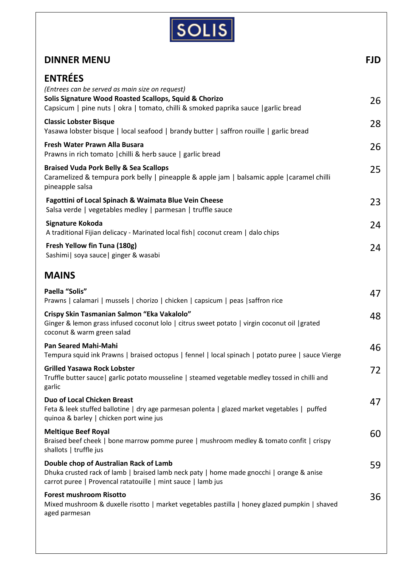

| <b>DINNER MENU</b>                                                                                                                                                                                                | <b>FJD</b> |
|-------------------------------------------------------------------------------------------------------------------------------------------------------------------------------------------------------------------|------------|
| <b>ENTRÉES</b><br>(Entrees can be served as main size on request)<br>Solis Signature Wood Roasted Scallops, Squid & Chorizo<br>Capsicum   pine nuts   okra   tomato, chilli & smoked paprika sauce   garlic bread | 26         |
| <b>Classic Lobster Bisque</b><br>Yasawa lobster bisque   local seafood   brandy butter   saffron rouille   garlic bread                                                                                           | 28         |
| Fresh Water Prawn Alla Busara<br>Prawns in rich tomato   chilli & herb sauce   garlic bread                                                                                                                       | 26         |
| <b>Braised Vuda Pork Belly &amp; Sea Scallops</b><br>Caramelized & tempura pork belly   pineapple & apple jam   balsamic apple   caramel chilli<br>pineapple salsa                                                | 25         |
| Fagottini of Local Spinach & Waimata Blue Vein Cheese<br>Salsa verde   vegetables medley   parmesan   truffle sauce                                                                                               | 23         |
| Signature Kokoda<br>A traditional Fijian delicacy - Marinated local fish   coconut cream   dalo chips                                                                                                             | 24         |
| Fresh Yellow fin Tuna (180g)<br>Sashimi   soya sauce   ginger & wasabi                                                                                                                                            | 24         |
| <b>MAINS</b>                                                                                                                                                                                                      |            |
| Paella "Solis"<br>Prawns   calamari   mussels   chorizo   chicken   capsicum   peas   saffron rice                                                                                                                | 47         |
| Crispy Skin Tasmanian Salmon "Eka Vakalolo"<br>Ginger & lemon grass infused coconut lolo   citrus sweet potato   virgin coconut oil   grated<br>coconut & warm green salad                                        | 48         |
| <b>Pan Seared Mahi-Mahi</b><br>Tempura squid ink Prawns   braised octopus   fennel   local spinach   potato puree   sauce Vierge                                                                                  | 46         |
| <b>Grilled Yasawa Rock Lobster</b><br>Truffle butter sauce   garlic potato mousseline   steamed vegetable medley tossed in chilli and<br>garlic                                                                   | 72         |
| <b>Duo of Local Chicken Breast</b><br>Feta & leek stuffed ballotine   dry age parmesan polenta   glazed market vegetables   puffed<br>quinoa & barley   chicken port wine jus                                     | 47         |
| <b>Meltique Beef Royal</b><br>Braised beef cheek   bone marrow pomme puree   mushroom medley & tomato confit   crispy<br>shallots   truffle jus                                                                   | 60         |
| Double chop of Australian Rack of Lamb<br>Dhuka crusted rack of lamb   braised lamb neck paty   home made gnocchi   orange & anise<br>carrot puree   Provencal ratatouille   mint sauce   lamb jus                | 59         |
| <b>Forest mushroom Risotto</b><br>Mixed mushroom & duxelle risotto   market vegetables pastilla   honey glazed pumpkin   shaved<br>aged parmesan                                                                  | 36         |
|                                                                                                                                                                                                                   |            |